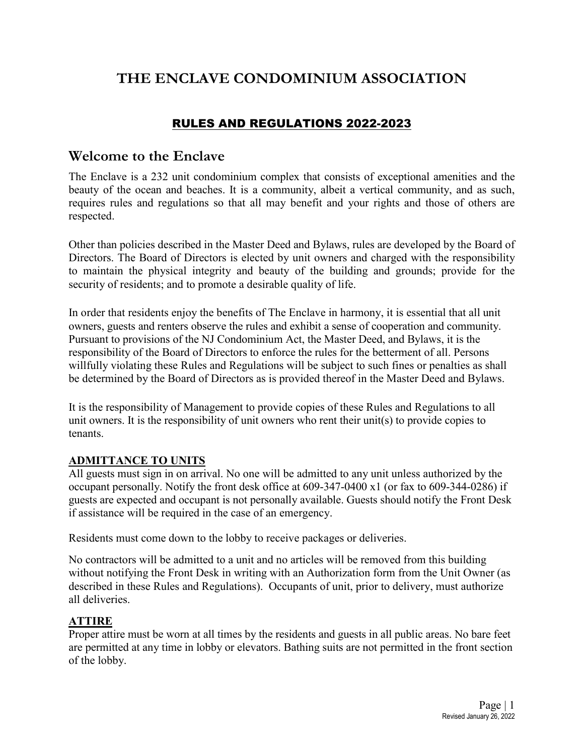# **THE ENCLAVE CONDOMINIUM ASSOCIATION**

## RULES AND REGULATIONS 2022-2023

## **Welcome to the Enclave**

The Enclave is a 232 unit condominium complex that consists of exceptional amenities and the beauty of the ocean and beaches. It is a community, albeit a vertical community, and as such, requires rules and regulations so that all may benefit and your rights and those of others are respected.

Other than policies described in the Master Deed and Bylaws, rules are developed by the Board of Directors. The Board of Directors is elected by unit owners and charged with the responsibility to maintain the physical integrity and beauty of the building and grounds; provide for the security of residents; and to promote a desirable quality of life.

In order that residents enjoy the benefits of The Enclave in harmony, it is essential that all unit owners, guests and renters observe the rules and exhibit a sense of cooperation and community. Pursuant to provisions of the NJ Condominium Act, the Master Deed, and Bylaws, it is the responsibility of the Board of Directors to enforce the rules for the betterment of all. Persons willfully violating these Rules and Regulations will be subject to such fines or penalties as shall be determined by the Board of Directors as is provided thereof in the Master Deed and Bylaws.

It is the responsibility of Management to provide copies of these Rules and Regulations to all unit owners. It is the responsibility of unit owners who rent their unit(s) to provide copies to tenants.

#### **ADMITTANCE TO UNITS**

All guests must sign in on arrival. No one will be admitted to any unit unless authorized by the occupant personally. Notify the front desk office at 609-347-0400 x1 (or fax to 609-344-0286) if guests are expected and occupant is not personally available. Guests should notify the Front Desk if assistance will be required in the case of an emergency.

Residents must come down to the lobby to receive packages or deliveries.

No contractors will be admitted to a unit and no articles will be removed from this building without notifying the Front Desk in writing with an Authorization form from the Unit Owner (as described in these Rules and Regulations). Occupants of unit, prior to delivery, must authorize all deliveries.

## **ATTIRE**

Proper attire must be worn at all times by the residents and guests in all public areas. No bare feet are permitted at any time in lobby or elevators. Bathing suits are not permitted in the front section of the lobby.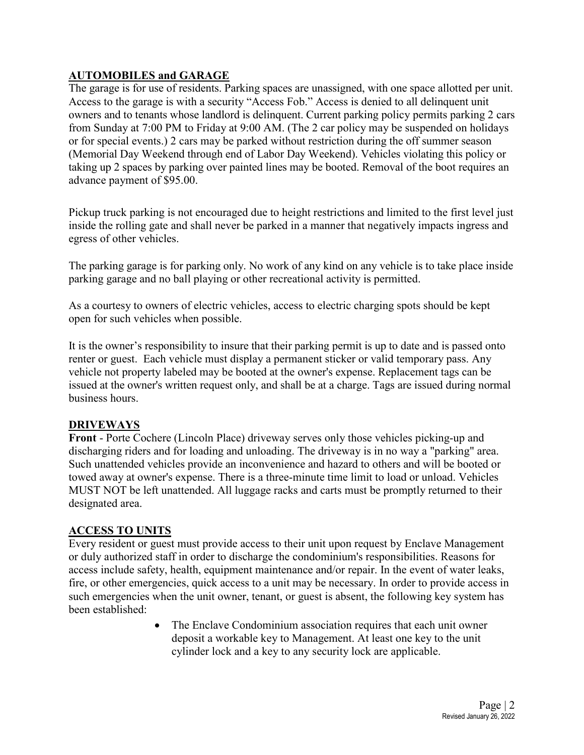## **AUTOMOBILES and GARAGE**

The garage is for use of residents. Parking spaces are unassigned, with one space allotted per unit. Access to the garage is with a security "Access Fob." Access is denied to all delinquent unit owners and to tenants whose landlord is delinquent. Current parking policy permits parking 2 cars from Sunday at 7:00 PM to Friday at 9:00 AM. (The 2 car policy may be suspended on holidays or for special events.) 2 cars may be parked without restriction during the off summer season (Memorial Day Weekend through end of Labor Day Weekend). Vehicles violating this policy or taking up 2 spaces by parking over painted lines may be booted. Removal of the boot requires an advance payment of \$95.00.

Pickup truck parking is not encouraged due to height restrictions and limited to the first level just inside the rolling gate and shall never be parked in a manner that negatively impacts ingress and egress of other vehicles.

The parking garage is for parking only. No work of any kind on any vehicle is to take place inside parking garage and no ball playing or other recreational activity is permitted.

As a courtesy to owners of electric vehicles, access to electric charging spots should be kept open for such vehicles when possible.

It is the owner's responsibility to insure that their parking permit is up to date and is passed onto renter or guest. Each vehicle must display a permanent sticker or valid temporary pass. Any vehicle not property labeled may be booted at the owner's expense. Replacement tags can be issued at the owner's written request only, and shall be at a charge. Tags are issued during normal business hours.

#### **DRIVEWAYS**

**Front** - Porte Cochere (Lincoln Place) driveway serves only those vehicles picking-up and discharging riders and for loading and unloading. The driveway is in no way a "parking" area. Such unattended vehicles provide an inconvenience and hazard to others and will be booted or towed away at owner's expense. There is a three-minute time limit to load or unload. Vehicles MUST NOT be left unattended. All luggage racks and carts must be promptly returned to their designated area.

#### **ACCESS TO UNITS**

Every resident or guest must provide access to their unit upon request by Enclave Management or duly authorized staff in order to discharge the condominium's responsibilities. Reasons for access include safety, health, equipment maintenance and/or repair. In the event of water leaks, fire, or other emergencies, quick access to a unit may be necessary. In order to provide access in such emergencies when the unit owner, tenant, or guest is absent, the following key system has been established:

> • The Enclave Condominium association requires that each unit owner deposit a workable key to Management. At least one key to the unit cylinder lock and a key to any security lock are applicable.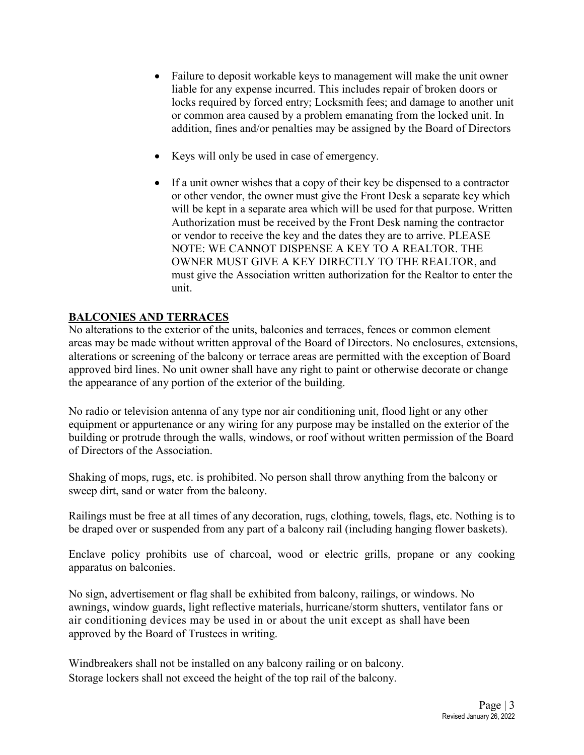- Failure to deposit workable keys to management will make the unit owner liable for any expense incurred. This includes repair of broken doors or locks required by forced entry; Locksmith fees; and damage to another unit or common area caused by a problem emanating from the locked unit. In addition, fines and/or penalties may be assigned by the Board of Directors
- Keys will only be used in case of emergency.
- If a unit owner wishes that a copy of their key be dispensed to a contractor or other vendor, the owner must give the Front Desk a separate key which will be kept in a separate area which will be used for that purpose. Written Authorization must be received by the Front Desk naming the contractor or vendor to receive the key and the dates they are to arrive. PLEASE NOTE: WE CANNOT DISPENSE A KEY TO A REALTOR. THE OWNER MUST GIVE A KEY DIRECTLY TO THE REALTOR, and must give the Association written authorization for the Realtor to enter the unit.

## **BALCONIES AND TERRACES**

No alterations to the exterior of the units, balconies and terraces, fences or common element areas may be made without written approval of the Board of Directors. No enclosures, extensions, alterations or screening of the balcony or terrace areas are permitted with the exception of Board approved bird lines. No unit owner shall have any right to paint or otherwise decorate or change the appearance of any portion of the exterior of the building.

No radio or television antenna of any type nor air conditioning unit, flood light or any other equipment or appurtenance or any wiring for any purpose may be installed on the exterior of the building or protrude through the walls, windows, or roof without written permission of the Board of Directors of the Association.

Shaking of mops, rugs, etc. is prohibited. No person shall throw anything from the balcony or sweep dirt, sand or water from the balcony.

Railings must be free at all times of any decoration, rugs, clothing, towels, flags, etc. Nothing is to be draped over or suspended from any part of a balcony rail (including hanging flower baskets).

Enclave policy prohibits use of charcoal, wood or electric grills, propane or any cooking apparatus on balconies.

No sign, advertisement or flag shall be exhibited from balcony, railings, or windows. No awnings, window guards, light reflective materials, hurricane/storm shutters, ventilator fans or air conditioning devices may be used in or about the unit except as shall have been approved by the Board of Trustees in writing.

Windbreakers shall not be installed on any balcony railing or on balcony. Storage lockers shall not exceed the height of the top rail of the balcony.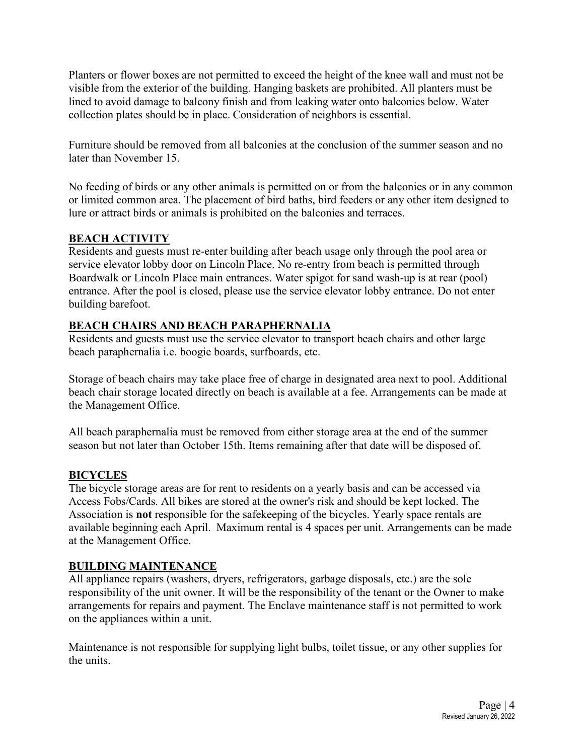Planters or flower boxes are not permitted to exceed the height of the knee wall and must not be visible from the exterior of the building. Hanging baskets are prohibited. All planters must be lined to avoid damage to balcony finish and from leaking water onto balconies below. Water collection plates should be in place. Consideration of neighbors is essential.

Furniture should be removed from all balconies at the conclusion of the summer season and no later than November 15.

No feeding of birds or any other animals is permitted on or from the balconies or in any common or limited common area. The placement of bird baths, bird feeders or any other item designed to lure or attract birds or animals is prohibited on the balconies and terraces.

## **BEACH ACTIVITY**

Residents and guests must re-enter building after beach usage only through the pool area or service elevator lobby door on Lincoln Place. No re-entry from beach is permitted through Boardwalk or Lincoln Place main entrances. Water spigot for sand wash-up is at rear (pool) entrance. After the pool is closed, please use the service elevator lobby entrance. Do not enter building barefoot.

## **BEACH CHAIRS AND BEACH PARAPHERNALIA**

Residents and guests must use the service elevator to transport beach chairs and other large beach paraphernalia i.e. boogie boards, surfboards, etc.

Storage of beach chairs may take place free of charge in designated area next to pool. Additional beach chair storage located directly on beach is available at a fee. Arrangements can be made at the Management Office.

All beach paraphernalia must be removed from either storage area at the end of the summer season but not later than October 15th. Items remaining after that date will be disposed of.

## **BICYCLES**

The bicycle storage areas are for rent to residents on a yearly basis and can be accessed via Access Fobs/Cards. All bikes are stored at the owner's risk and should be kept locked. The Association is **not** responsible for the safekeeping of the bicycles. Yearly space rentals are available beginning each April. Maximum rental is 4 spaces per unit. Arrangements can be made at the Management Office.

## **BUILDING MAINTENANCE**

All appliance repairs (washers, dryers, refrigerators, garbage disposals, etc.) are the sole responsibility of the unit owner. It will be the responsibility of the tenant or the Owner to make arrangements for repairs and payment. The Enclave maintenance staff is not permitted to work on the appliances within a unit.

Maintenance is not responsible for supplying light bulbs, toilet tissue, or any other supplies for the units.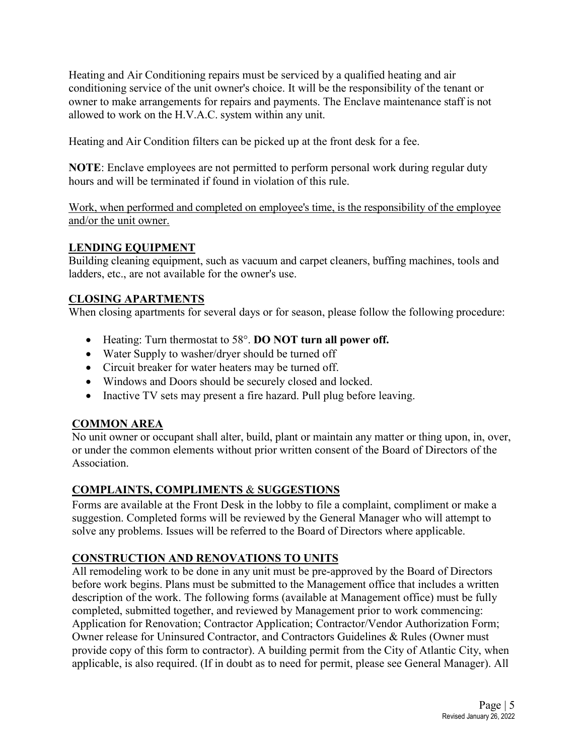Heating and Air Conditioning repairs must be serviced by a qualified heating and air conditioning service of the unit owner's choice. It will be the responsibility of the tenant or owner to make arrangements for repairs and payments. The Enclave maintenance staff is not allowed to work on the H.V.A.C. system within any unit.

Heating and Air Condition filters can be picked up at the front desk for a fee.

**NOTE**: Enclave employees are not permitted to perform personal work during regular duty hours and will be terminated if found in violation of this rule.

Work, when performed and completed on employee's time, is the responsibility of the employee and/or the unit owner.

## **LENDING EQUIPMENT**

Building cleaning equipment, such as vacuum and carpet cleaners, buffing machines, tools and ladders, etc., are not available for the owner's use.

## **CLOSING APARTMENTS**

When closing apartments for several days or for season, please follow the following procedure:

- Heating: Turn thermostat to 58°. **DO NOT turn all power off.**
- Water Supply to washer/dryer should be turned off
- Circuit breaker for water heaters may be turned off.
- Windows and Doors should be securely closed and locked.
- Inactive TV sets may present a fire hazard. Pull plug before leaving.

#### **COMMON AREA**

No unit owner or occupant shall alter, build, plant or maintain any matter or thing upon, in, over, or under the common elements without prior written consent of the Board of Directors of the Association.

## **COMPLAINTS, COMPLIMENTS** & **SUGGESTIONS**

Forms are available at the Front Desk in the lobby to file a complaint, compliment or make a suggestion. Completed forms will be reviewed by the General Manager who will attempt to solve any problems. Issues will be referred to the Board of Directors where applicable.

## **CONSTRUCTION AND RENOVATIONS TO UNITS**

All remodeling work to be done in any unit must be pre-approved by the Board of Directors before work begins. Plans must be submitted to the Management office that includes a written description of the work. The following forms (available at Management office) must be fully completed, submitted together, and reviewed by Management prior to work commencing: Application for Renovation; Contractor Application; Contractor/Vendor Authorization Form; Owner release for Uninsured Contractor, and Contractors Guidelines & Rules (Owner must provide copy of this form to contractor). A building permit from the City of Atlantic City, when applicable, is also required. (If in doubt as to need for permit, please see General Manager). All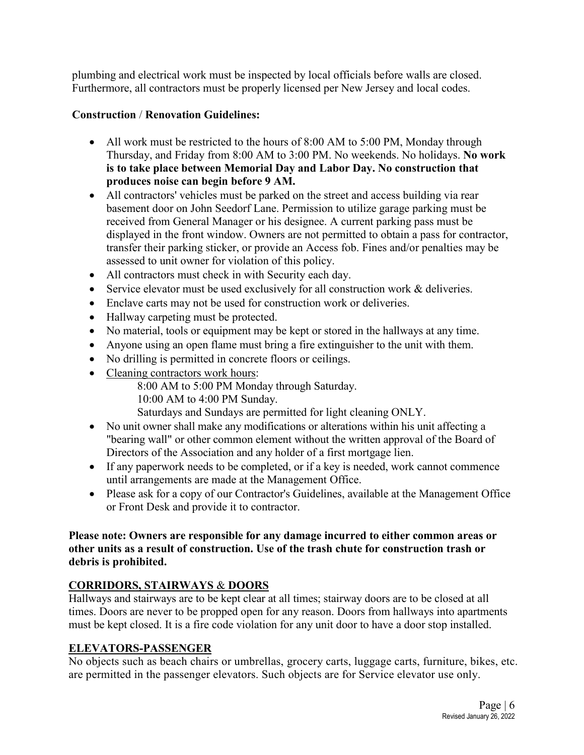plumbing and electrical work must be inspected by local officials before walls are closed. Furthermore, all contractors must be properly licensed per New Jersey and local codes.

## **Construction** / **Renovation Guidelines:**

- All work must be restricted to the hours of 8:00 AM to 5:00 PM, Monday through Thursday, and Friday from 8:00 AM to 3:00 PM. No weekends. No holidays. **No work is to take place between Memorial Day and Labor Day. No construction that produces noise can begin before 9 AM.**
- All contractors' vehicles must be parked on the street and access building via rear basement door on John Seedorf Lane. Permission to utilize garage parking must be received from General Manager or his designee. A current parking pass must be displayed in the front window. Owners are not permitted to obtain a pass for contractor, transfer their parking sticker, or provide an Access fob. Fines and/or penalties may be assessed to unit owner for violation of this policy.
- All contractors must check in with Security each day.
- Service elevator must be used exclusively for all construction work & deliveries.
- Enclave carts may not be used for construction work or deliveries.
- Hallway carpeting must be protected.
- No material, tools or equipment may be kept or stored in the hallways at any time.
- Anyone using an open flame must bring a fire extinguisher to the unit with them.
- No drilling is permitted in concrete floors or ceilings.
- Cleaning contractors work hours:

8:00 AM to 5:00 PM Monday through Saturday.

10:00 AM to 4:00 PM Sunday.

Saturdays and Sundays are permitted for light cleaning ONLY.

- No unit owner shall make any modifications or alterations within his unit affecting a "bearing wall" or other common element without the written approval of the Board of Directors of the Association and any holder of a first mortgage lien.
- If any paperwork needs to be completed, or if a key is needed, work cannot commence until arrangements are made at the Management Office.
- Please ask for a copy of our Contractor's Guidelines, available at the Management Office or Front Desk and provide it to contractor.

## **Please note: Owners are responsible for any damage incurred to either common areas or other units as a result of construction. Use of the trash chute for construction trash or debris is prohibited.**

## **CORRIDORS, STAIRWAYS** & **DOORS**

Hallways and stairways are to be kept clear at all times; stairway doors are to be closed at all times. Doors are never to be propped open for any reason. Doors from hallways into apartments must be kept closed. It is a fire code violation for any unit door to have a door stop installed.

## **ELEVATORS-PASSENGER**

No objects such as beach chairs or umbrellas, grocery carts, luggage carts, furniture, bikes, etc. are permitted in the passenger elevators. Such objects are for Service elevator use only.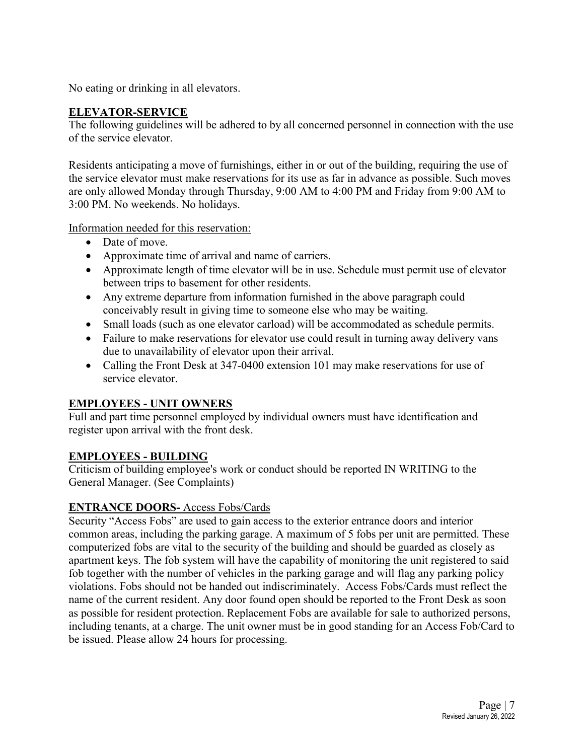No eating or drinking in all elevators.

#### **ELEVATOR-SERVICE**

The following guidelines will be adhered to by all concerned personnel in connection with the use of the service elevator.

Residents anticipating a move of furnishings, either in or out of the building, requiring the use of the service elevator must make reservations for its use as far in advance as possible. Such moves are only allowed Monday through Thursday, 9:00 AM to 4:00 PM and Friday from 9:00 AM to 3:00 PM. No weekends. No holidays.

#### Information needed for this reservation:

- Date of move.
- Approximate time of arrival and name of carriers.
- Approximate length of time elevator will be in use. Schedule must permit use of elevator between trips to basement for other residents.
- Any extreme departure from information furnished in the above paragraph could conceivably result in giving time to someone else who may be waiting.
- Small loads (such as one elevator carload) will be accommodated as schedule permits.
- Failure to make reservations for elevator use could result in turning away delivery vans due to unavailability of elevator upon their arrival.
- Calling the Front Desk at 347-0400 extension 101 may make reservations for use of service elevator.

#### **EMPLOYEES - UNIT OWNERS**

Full and part time personnel employed by individual owners must have identification and register upon arrival with the front desk.

#### **EMPLOYEES - BUILDING**

Criticism of building employee's work or conduct should be reported IN WRITING to the General Manager. (See Complaints)

## **ENTRANCE DOORS-** Access Fobs/Cards

Security "Access Fobs" are used to gain access to the exterior entrance doors and interior common areas, including the parking garage. A maximum of 5 fobs per unit are permitted. These computerized fobs are vital to the security of the building and should be guarded as closely as apartment keys. The fob system will have the capability of monitoring the unit registered to said fob together with the number of vehicles in the parking garage and will flag any parking policy violations. Fobs should not be handed out indiscriminately. Access Fobs/Cards must reflect the name of the current resident. Any door found open should be reported to the Front Desk as soon as possible for resident protection. Replacement Fobs are available for sale to authorized persons, including tenants, at a charge. The unit owner must be in good standing for an Access Fob/Card to be issued. Please allow 24 hours for processing.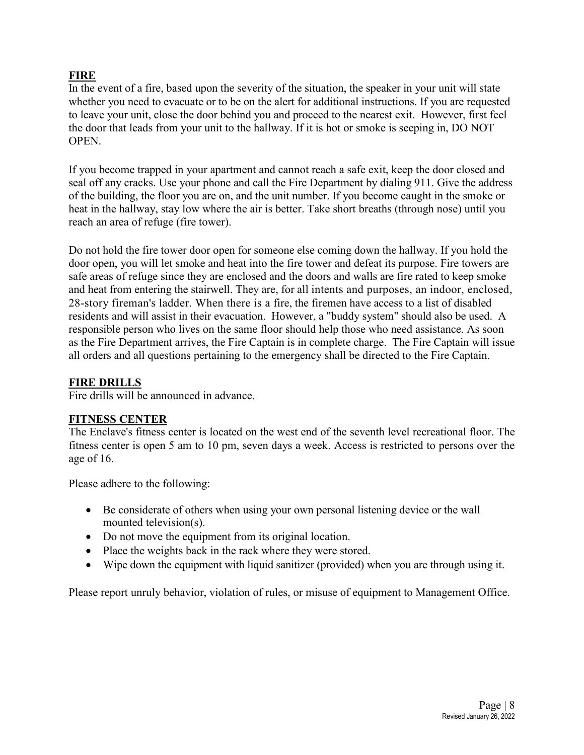#### **FIRE**

In the event of a fire, based upon the severity of the situation, the speaker in your unit will state whether you need to evacuate or to be on the alert for additional instructions. If you are requested to leave your unit, close the door behind you and proceed to the nearest exit. However, first feel the door that leads from your unit to the hallway. If it is hot or smoke is seeping in, DO NOT OPEN.

If you become trapped in your apartment and cannot reach a safe exit, keep the door closed and seal off any cracks. Use your phone and call the Fire Department by dialing 911. Give the address of the building, the floor you are on, and the unit number. If you become caught in the smoke or heat in the hallway, stay low where the air is better. Take short breaths (through nose) until you reach an area of refuge (fire tower).

Do not hold the fire tower door open for someone else coming down the hallway. If you hold the door open, you will let smoke and heat into the fire tower and defeat its purpose. Fire towers are safe areas of refuge since they are enclosed and the doors and walls are fire rated to keep smoke and heat from entering the stairwell. They are, for all intents and purposes, an indoor, enclosed, 28-story fireman's ladder. When there is a fire, the firemen have access to a list of disabled residents and will assist in their evacuation. However, a "buddy system" should also be used. A responsible person who lives on the same floor should help those who need assistance. As soon as the Fire Department arrives, the Fire Captain is in complete charge. The Fire Captain will issue all orders and all questions pertaining to the emergency shall be directed to the Fire Captain.

#### **FIRE DRILLS**

Fire drills will be announced in advance.

#### **FITNESS CENTER**

The Enclave's fitness center is located on the west end of the seventh level recreational floor. The fitness center is open 5 am to 10 pm, seven days a week. Access is restricted to persons over the age of 16.

Please adhere to the following:

- Be considerate of others when using your own personal listening device or the wall mounted television(s).
- Do not move the equipment from its original location.
- Place the weights back in the rack where they were stored.
- Wipe down the equipment with liquid sanitizer (provided) when you are through using it.

Please report unruly behavior, violation of rules, or misuse of equipment to Management Office.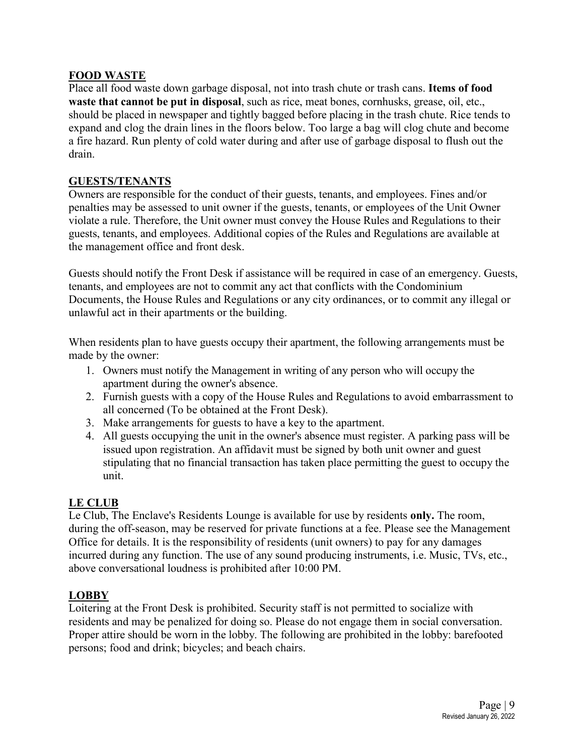#### **FOOD WASTE**

Place all food waste down garbage disposal, not into trash chute or trash cans. **Items of food waste that cannot be put in disposal**, such as rice, meat bones, cornhusks, grease, oil, etc., should be placed in newspaper and tightly bagged before placing in the trash chute. Rice tends to expand and clog the drain lines in the floors below. Too large a bag will clog chute and become a fire hazard. Run plenty of cold water during and after use of garbage disposal to flush out the drain.

#### **GUESTS/TENANTS**

Owners are responsible for the conduct of their guests, tenants, and employees. Fines and/or penalties may be assessed to unit owner if the guests, tenants, or employees of the Unit Owner violate a rule. Therefore, the Unit owner must convey the House Rules and Regulations to their guests, tenants, and employees. Additional copies of the Rules and Regulations are available at the management office and front desk.

Guests should notify the Front Desk if assistance will be required in case of an emergency. Guests, tenants, and employees are not to commit any act that conflicts with the Condominium Documents, the House Rules and Regulations or any city ordinances, or to commit any illegal or unlawful act in their apartments or the building.

When residents plan to have guests occupy their apartment, the following arrangements must be made by the owner:

- 1. Owners must notify the Management in writing of any person who will occupy the apartment during the owner's absence.
- 2. Furnish guests with a copy of the House Rules and Regulations to avoid embarrassment to all concerned (To be obtained at the Front Desk).
- 3. Make arrangements for guests to have a key to the apartment.
- 4. All guests occupying the unit in the owner's absence must register. A parking pass will be issued upon registration. An affidavit must be signed by both unit owner and guest stipulating that no financial transaction has taken place permitting the guest to occupy the unit.

#### **LE CLUB**

Le Club, The Enclave's Residents Lounge is available for use by residents **only.** The room, during the off-season, may be reserved for private functions at a fee. Please see the Management Office for details. It is the responsibility of residents (unit owners) to pay for any damages incurred during any function. The use of any sound producing instruments, i.e. Music, TVs, etc., above conversational loudness is prohibited after 10:00 PM.

#### **LOBBY**

Loitering at the Front Desk is prohibited. Security staff is not permitted to socialize with residents and may be penalized for doing so. Please do not engage them in social conversation. Proper attire should be worn in the lobby. The following are prohibited in the lobby: barefooted persons; food and drink; bicycles; and beach chairs.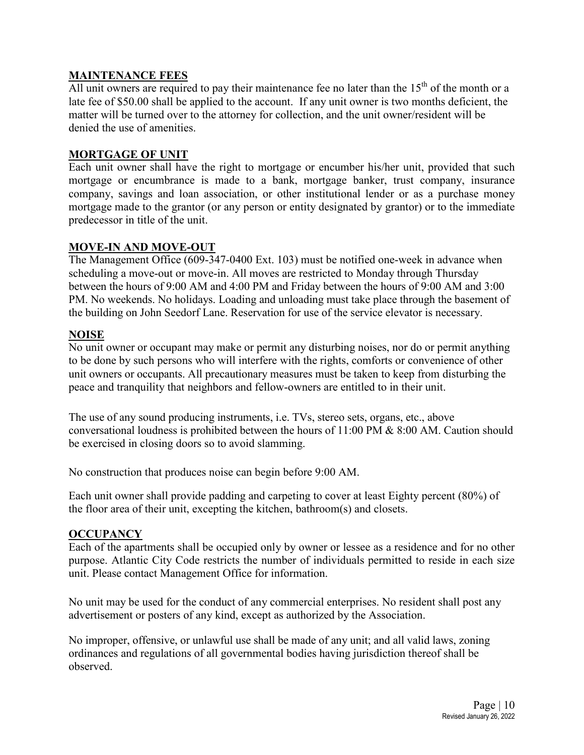#### **MAINTENANCE FEES**

All unit owners are required to pay their maintenance fee no later than the  $15<sup>th</sup>$  of the month or a late fee of \$50.00 shall be applied to the account. If any unit owner is two months deficient, the matter will be turned over to the attorney for collection, and the unit owner/resident will be denied the use of amenities.

#### **MORTGAGE OF UNIT**

Each unit owner shall have the right to mortgage or encumber his/her unit, provided that such mortgage or encumbrance is made to a bank, mortgage banker, trust company, insurance company, savings and loan association, or other institutional lender or as a purchase money mortgage made to the grantor (or any person or entity designated by grantor) or to the immediate predecessor in title of the unit.

#### **MOVE-IN AND MOVE-OUT**

The Management Office (609-347-0400 Ext. 103) must be notified one-week in advance when scheduling a move-out or move-in. All moves are restricted to Monday through Thursday between the hours of 9:00 AM and 4:00 PM and Friday between the hours of 9:00 AM and 3:00 PM. No weekends. No holidays. Loading and unloading must take place through the basement of the building on John Seedorf Lane. Reservation for use of the service elevator is necessary.

#### **NOISE**

No unit owner or occupant may make or permit any disturbing noises, nor do or permit anything to be done by such persons who will interfere with the rights, comforts or convenience of other unit owners or occupants. All precautionary measures must be taken to keep from disturbing the peace and tranquility that neighbors and fellow-owners are entitled to in their unit.

The use of any sound producing instruments, i.e. TVs, stereo sets, organs, etc., above conversational loudness is prohibited between the hours of 11:00 PM & 8:00 AM. Caution should be exercised in closing doors so to avoid slamming.

No construction that produces noise can begin before 9:00 AM.

Each unit owner shall provide padding and carpeting to cover at least Eighty percent (80%) of the floor area of their unit, excepting the kitchen, bathroom(s) and closets.

#### **OCCUPANCY**

Each of the apartments shall be occupied only by owner or lessee as a residence and for no other purpose. Atlantic City Code restricts the number of individuals permitted to reside in each size unit. Please contact Management Office for information.

No unit may be used for the conduct of any commercial enterprises. No resident shall post any advertisement or posters of any kind, except as authorized by the Association.

No improper, offensive, or unlawful use shall be made of any unit; and all valid laws, zoning ordinances and regulations of all governmental bodies having jurisdiction thereof shall be observed.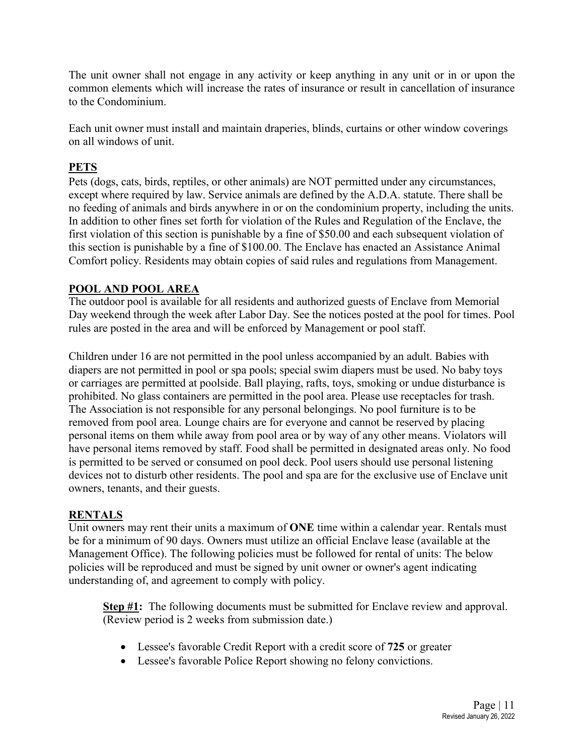The unit owner shall not engage in any activity or keep anything in any unit or in or upon the common elements which will increase the rates of insurance or result in cancellation of insurance to the Condominium.

Each unit owner must install and maintain draperies, blinds, curtains or other window coverings on all windows of unit.

## **PETS**

Pets (dogs, cats, birds, reptiles, or other animals) are NOT permitted under any circumstances, except where required by law. Service animals are defined by the A.D.A. statute. There shall be no feeding of animals and birds anywhere in or on the condominium property, including the units. In addition to other fines set forth for violation of the Rules and Regulation of the Enclave, the first violation of this section is punishable by a fine of \$50.00 and each subsequent violation of this section is punishable by a fine of \$100.00. The Enclave has enacted an Assistance Animal Comfort policy. Residents may obtain copies of said rules and regulations from Management.

## **POOL AND POOL AREA**

The outdoor pool is available for all residents and authorized guests of Enclave from Memorial Day weekend through the week after Labor Day. See the notices posted at the pool for times. Pool rules are posted in the area and will be enforced by Management or pool staff.

Children under 16 are not permitted in the pool unless accompanied by an adult. Babies with diapers are not permitted in pool or spa pools; special swim diapers must be used. No baby toys or carriages are permitted at poolside. Ball playing, rafts, toys, smoking or undue disturbance is prohibited. No glass containers are permitted in the pool area. Please use receptacles for trash. The Association is not responsible for any personal belongings. No pool furniture is to be removed from pool area. Lounge chairs are for everyone and cannot be reserved by placing personal items on them while away from pool area or by way of any other means. Violators will have personal items removed by staff. Food shall be permitted in designated areas only. No food is permitted to be served or consumed on pool deck. Pool users should use personal listening devices not to disturb other residents. The pool and spa are for the exclusive use of Enclave unit owners, tenants, and their guests.

## **RENTALS**

Unit owners may rent their units a maximum of **ONE** time within a calendar year. Rentals must be for a minimum of 90 days. Owners must utilize an official Enclave lease (available at the Management Office). The following policies must be followed for rental of units: The below policies will be reproduced and must be signed by unit owner or owner's agent indicating understanding of, and agreement to comply with policy.

**Step #1:** The following documents must be submitted for Enclave review and approval. (Review period is 2 weeks from submission date.)

- Lessee's favorable Credit Report with a credit score of **725** or greater
- Lessee's favorable Police Report showing no felony convictions.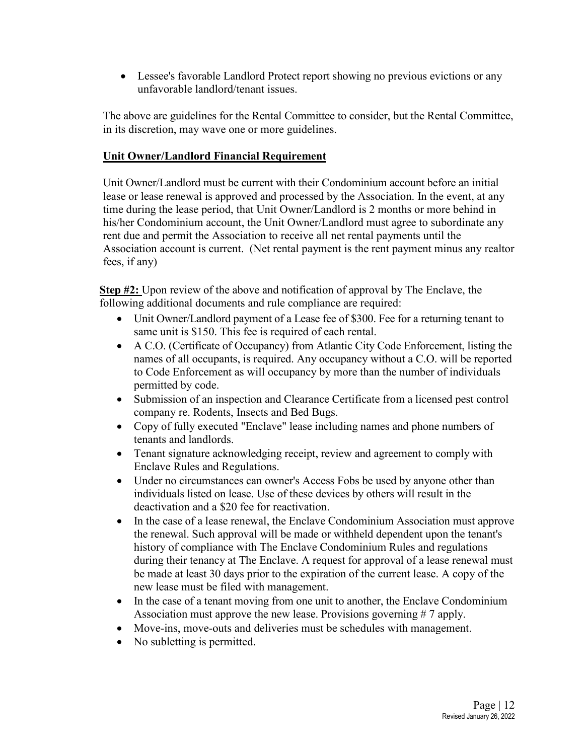• Lessee's favorable Landlord Protect report showing no previous evictions or any unfavorable landlord/tenant issues.

The above are guidelines for the Rental Committee to consider, but the Rental Committee, in its discretion, may wave one or more guidelines.

## **Unit Owner/Landlord Financial Requirement**

Unit Owner/Landlord must be current with their Condominium account before an initial lease or lease renewal is approved and processed by the Association. In the event, at any time during the lease period, that Unit Owner/Landlord is 2 months or more behind in his/her Condominium account, the Unit Owner/Landlord must agree to subordinate any rent due and permit the Association to receive all net rental payments until the Association account is current. (Net rental payment is the rent payment minus any realtor fees, if any)

**Step #2:** Upon review of the above and notification of approval by The Enclave, the following additional documents and rule compliance are required:

- Unit Owner/Landlord payment of a Lease fee of \$300. Fee for a returning tenant to same unit is \$150. This fee is required of each rental.
- A C.O. (Certificate of Occupancy) from Atlantic City Code Enforcement, listing the names of all occupants, is required. Any occupancy without a C.O. will be reported to Code Enforcement as will occupancy by more than the number of individuals permitted by code.
- Submission of an inspection and Clearance Certificate from a licensed pest control company re. Rodents, Insects and Bed Bugs.
- Copy of fully executed "Enclave" lease including names and phone numbers of tenants and landlords.
- Tenant signature acknowledging receipt, review and agreement to comply with Enclave Rules and Regulations.
- Under no circumstances can owner's Access Fobs be used by anyone other than individuals listed on lease. Use of these devices by others will result in the deactivation and a \$20 fee for reactivation.
- In the case of a lease renewal, the Enclave Condominium Association must approve the renewal. Such approval will be made or withheld dependent upon the tenant's history of compliance with The Enclave Condominium Rules and regulations during their tenancy at The Enclave. A request for approval of a lease renewal must be made at least 30 days prior to the expiration of the current lease. A copy of the new lease must be filed with management.
- In the case of a tenant moving from one unit to another, the Enclave Condominium Association must approve the new lease. Provisions governing # 7 apply.
- Move-ins, move-outs and deliveries must be schedules with management.
- No subletting is permitted.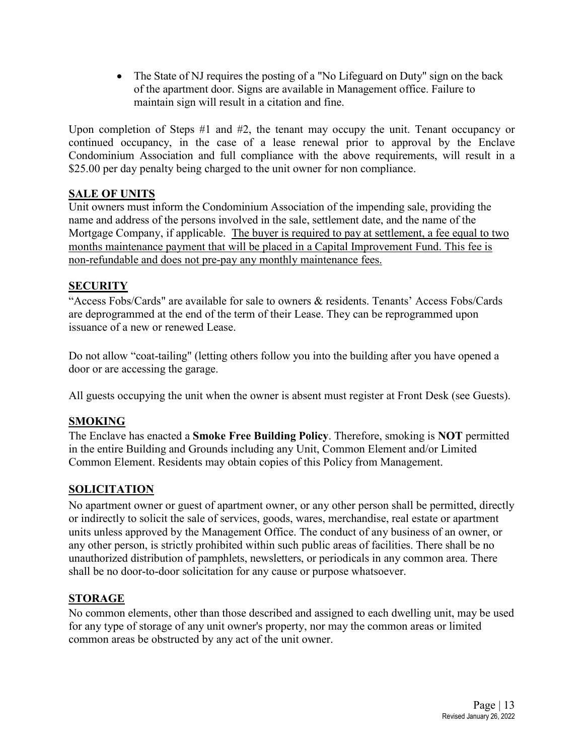• The State of NJ requires the posting of a "No Lifeguard on Duty" sign on the back of the apartment door. Signs are available in Management office. Failure to maintain sign will result in a citation and fine.

Upon completion of Steps #1 and #2, the tenant may occupy the unit. Tenant occupancy or continued occupancy, in the case of a lease renewal prior to approval by the Enclave Condominium Association and full compliance with the above requirements, will result in a \$25.00 per day penalty being charged to the unit owner for non compliance.

## **SALE OF UNITS**

Unit owners must inform the Condominium Association of the impending sale, providing the name and address of the persons involved in the sale, settlement date, and the name of the Mortgage Company, if applicable. The buyer is required to pay at settlement, a fee equal to two months maintenance payment that will be placed in a Capital Improvement Fund. This fee is non-refundable and does not pre-pay any monthly maintenance fees.

## **SECURITY**

"Access Fobs/Cards" are available for sale to owners & residents. Tenants' Access Fobs/Cards are deprogrammed at the end of the term of their Lease. They can be reprogrammed upon issuance of a new or renewed Lease.

Do not allow "coat-tailing" (letting others follow you into the building after you have opened a door or are accessing the garage.

All guests occupying the unit when the owner is absent must register at Front Desk (see Guests).

## **SMOKING**

The Enclave has enacted a **Smoke Free Building Policy**. Therefore, smoking is **NOT** permitted in the entire Building and Grounds including any Unit, Common Element and/or Limited Common Element. Residents may obtain copies of this Policy from Management.

## **SOLICITATION**

No apartment owner or guest of apartment owner, or any other person shall be permitted, directly or indirectly to solicit the sale of services, goods, wares, merchandise, real estate or apartment units unless approved by the Management Office. The conduct of any business of an owner, or any other person, is strictly prohibited within such public areas of facilities. There shall be no unauthorized distribution of pamphlets, newsletters, or periodicals in any common area. There shall be no door-to-door solicitation for any cause or purpose whatsoever.

## **STORAGE**

No common elements, other than those described and assigned to each dwelling unit, may be used for any type of storage of any unit owner's property, nor may the common areas or limited common areas be obstructed by any act of the unit owner.